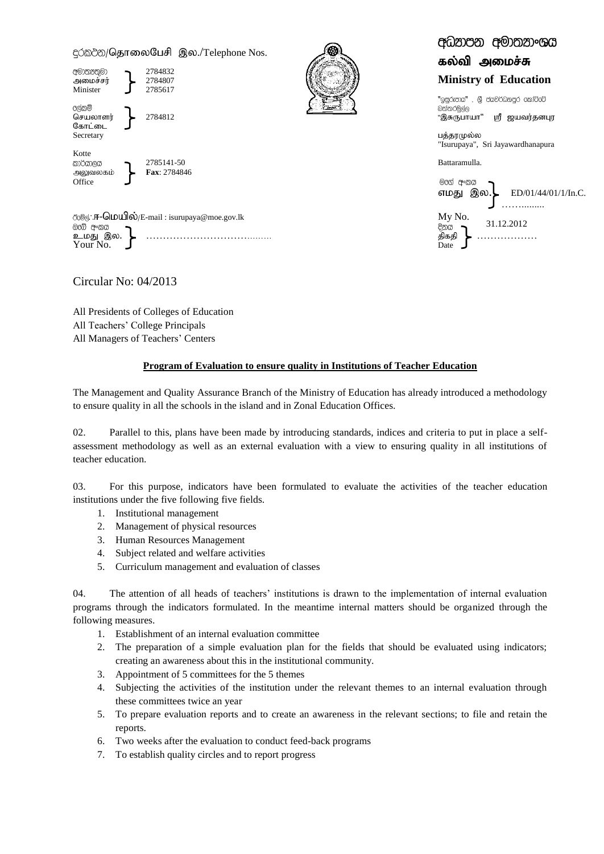c்றல் / தொலைபேசி இல./Telephone Nos.



*ි*ිරමල්∴**ஈ-ධெபபில்**/E-mail : isurupaya@moe.gov.lk My No.<br>@ැබි අංකය → ckJ ,y. ………………………………… jpfjp ……………… உமது இல.<br>Your No.

Circular No: 04/2013

All Presidents of Colleges of Education All Teachers' College Principals All Managers of Teachers' Centers

## **Program of Evaluation to ensure quality in Institutions of Teacher Education**

The Management and Quality Assurance Branch of the Ministry of Education has already introduced a methodology to ensure quality in all the schools in the island and in Zonal Education Offices.

02. Parallel to this, plans have been made by introducing standards, indices and criteria to put in place a selfassessment methodology as well as an external evaluation with a view to ensuring quality in all institutions of teacher education.

03. For this purpose, indicators have been formulated to evaluate the activities of the teacher education institutions under the five following five fields.

- 1. Institutional management
- 2. Management of physical resources
- 3. Human Resources Management
- 4. Subject related and welfare activities
- 5. Curriculum management and evaluation of classes

04. The attention of all heads of teachers' institutions is drawn to the implementation of internal evaluation programs through the indicators formulated. In the meantime internal matters should be organized through the following measures.

- 1. Establishment of an internal evaluation committee
- 2. The preparation of a simple evaluation plan for the fields that should be evaluated using indicators; creating an awareness about this in the institutional community.
- 3. Appointment of 5 committees for the 5 themes
- 4. Subjecting the activities of the institution under the relevant themes to an internal evaluation through these committees twice an year
- 5. To prepare evaluation reports and to create an awareness in the relevant sections; to file and retain the reports.
- 6. Two weeks after the evaluation to conduct feed-back programs
- 7. To establish quality circles and to report progress

|                | கல்வி அமைச்சு                                                     |
|----------------|-------------------------------------------------------------------|
|                | <b>Ministry of Education</b>                                      |
| බත්තරමල්ල      | "ඉසුරුපාය" , ශී ජයවර්ධනපුර කෝට්රට්<br>"இசுருபாயா" ஸ்ரீ ஜயவர்தனபுர |
| பத்தரமுல்ல     | "Isurupaya", Sri Jayawardhanapura                                 |
| Battaramulla.  |                                                                   |
| രിന്തി<br>අංකය |                                                                   |

අධුනපන අමාතනංශය

எமது இல.\ ED/01/44/01/1/In.C. ……......... 31.12.2012